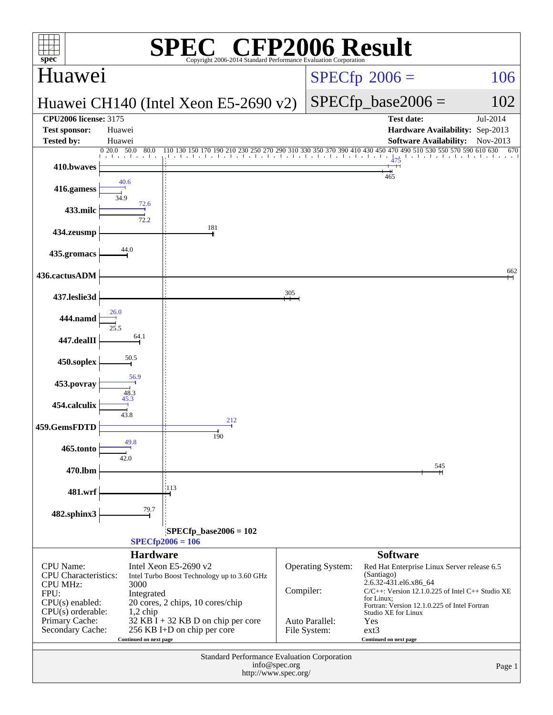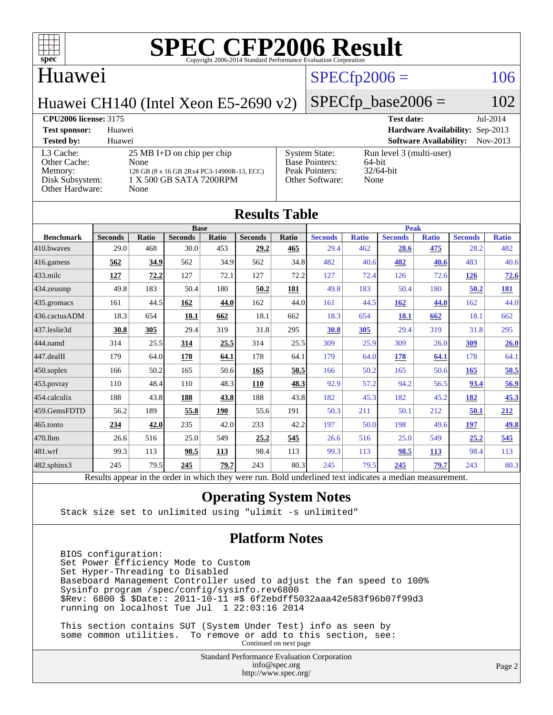

#### Huawei

#### $SPECfp2006 = 106$  $SPECfp2006 = 106$

Huawei CH140 (Intel Xeon E5-2690 v2)

## $SPECfp\_base2006 = 102$

| <b>CPU2006 license: 3175</b>                                               |                                                                                                                               | <b>Test date:</b>                                                                  | $Jul-2014$                                                    |            |
|----------------------------------------------------------------------------|-------------------------------------------------------------------------------------------------------------------------------|------------------------------------------------------------------------------------|---------------------------------------------------------------|------------|
| <b>Test sponsor:</b>                                                       | Huawei                                                                                                                        |                                                                                    | Hardware Availability: Sep-2013                               |            |
| <b>Tested by:</b>                                                          | Huawei                                                                                                                        |                                                                                    | <b>Software Availability:</b>                                 | $Nov-2013$ |
| L3 Cache:<br>Other Cache:<br>Memory:<br>Disk Subsystem:<br>Other Hardware: | $25 \text{ MB I+D}$ on chip per chip<br>None<br>128 GB (8 x 16 GB 2Rx4 PC3-14900R-13, ECC)<br>1 X 500 GB SATA 7200RPM<br>None | <b>System State:</b><br><b>Base Pointers:</b><br>Peak Pointers:<br>Other Software: | Run level 3 (multi-user)<br>$64$ -bit<br>$32/64$ -bit<br>None |            |

| <b>Results Table</b>                                                                                     |                |              |                |       |                |       |                |              |                |              |                |              |
|----------------------------------------------------------------------------------------------------------|----------------|--------------|----------------|-------|----------------|-------|----------------|--------------|----------------|--------------|----------------|--------------|
|                                                                                                          | <b>Base</b>    |              |                |       | <b>Peak</b>    |       |                |              |                |              |                |              |
| <b>Benchmark</b>                                                                                         | <b>Seconds</b> | <b>Ratio</b> | <b>Seconds</b> | Ratio | <b>Seconds</b> | Ratio | <b>Seconds</b> | <b>Ratio</b> | <b>Seconds</b> | <b>Ratio</b> | <b>Seconds</b> | <b>Ratio</b> |
| 410.bwayes                                                                                               | 29.0           | 468          | 30.0           | 453   | 29.2           | 465   | 29.4           | 462          | 28.6           | 475          | 28.2           | 482          |
| 416.gamess                                                                                               | 562            | 34.9         | 562            | 34.9  | 562            | 34.8  | 482            | 40.6         | 482            | 40.6         | 483            | 40.6         |
| $433$ .milc                                                                                              | 127            | 72.2         | 127            | 72.1  | 127            | 72.2  | 127            | 72.4         | 126            | 72.6         | 126            | 72.6         |
| 434.zeusmp                                                                                               | 49.8           | 183          | 50.4           | 180   | 50.2           | 181   | 49.8           | 183          | 50.4           | 180          | 50.2           | <u>181</u>   |
| 435.gromacs                                                                                              | 161            | 44.5         | 162            | 44.0  | 162            | 44.0  | 161            | 44.5         | 162            | 44.0         | 162            | 44.0         |
| 436.cactusADM                                                                                            | 18.3           | 654          | 18.1           | 662   | 18.1           | 662   | 18.3           | 654          | 18.1           | 662          | 18.1           | 662          |
| 437.leslie3d                                                                                             | 30.8           | 305          | 29.4           | 319   | 31.8           | 295   | 30.8           | 305          | 29.4           | 319          | 31.8           | 295          |
| 444.namd                                                                                                 | 314            | 25.5         | 314            | 25.5  | 314            | 25.5  | 309            | 25.9         | 309            | 26.0         | 309            | 26.0         |
| 447.dealII                                                                                               | 179            | 64.0         | 178            | 64.1  | 178            | 64.1  | 179            | 64.0         | 178            | 64.1         | 178            | 64.1         |
| 450.soplex                                                                                               | 166            | 50.2         | 165            | 50.6  | 165            | 50.5  | 166            | 50.2         | 165            | 50.6         | 165            | 50.5         |
| 453.povray                                                                                               | 110            | 48.4         | 110            | 48.3  | 110            | 48.3  | 92.9           | 57.2         | 94.2           | 56.5         | 93.4           | 56.9         |
| 454.calculix                                                                                             | 188            | 43.8         | 188            | 43.8  | 188            | 43.8  | 182            | 45.3         | 182            | 45.2         | 182            | 45.3         |
| 459.GemsFDTD                                                                                             | 56.2           | 189          | 55.8           | 190   | 55.6           | 191   | 50.3           | 211          | 50.1           | 212          | 50.1           | 212          |
| 465.tonto                                                                                                | 234            | 42.0         | 235            | 42.0  | 233            | 42.2  | 197            | 50.0         | 198            | 49.6         | 197            | 49.8         |
| 470.1bm                                                                                                  | 26.6           | 516          | 25.0           | 549   | 25.2           | 545   | 26.6           | 516          | 25.0           | 549          | 25.2           | 545          |
| 481.wrf                                                                                                  | 99.3           | 113          | 98.5           | 113   | 98.4           | 113   | 99.3           | 113          | 98.5           | 113          | 98.4           | 113          |
| $482$ .sphinx $3$                                                                                        | 245            | 79.5         | 245            | 79.7  | 243            | 80.3  | 245            | 79.5         | 245            | 79.7         | 243            | 80.3         |
| Results appear in the order in which they were run. Bold underlined text indicates a median measurement. |                |              |                |       |                |       |                |              |                |              |                |              |

#### **[Operating System Notes](http://www.spec.org/auto/cpu2006/Docs/result-fields.html#OperatingSystemNotes)**

Stack size set to unlimited using "ulimit -s unlimited"

#### **[Platform Notes](http://www.spec.org/auto/cpu2006/Docs/result-fields.html#PlatformNotes)**

 BIOS configuration: Set Power Efficiency Mode to Custom Set Hyper-Threading to Disabled Baseboard Management Controller used to adjust the fan speed to 100% Sysinfo program /spec/config/sysinfo.rev6800 \$Rev: 6800 \$ \$Date:: 2011-10-11 #\$ 6f2ebdff5032aaa42e583f96b07f99d3 running on localhost Tue Jul 1 22:03:16 2014

 This section contains SUT (System Under Test) info as seen by some common utilities. To remove or add to this section, see: Continued on next page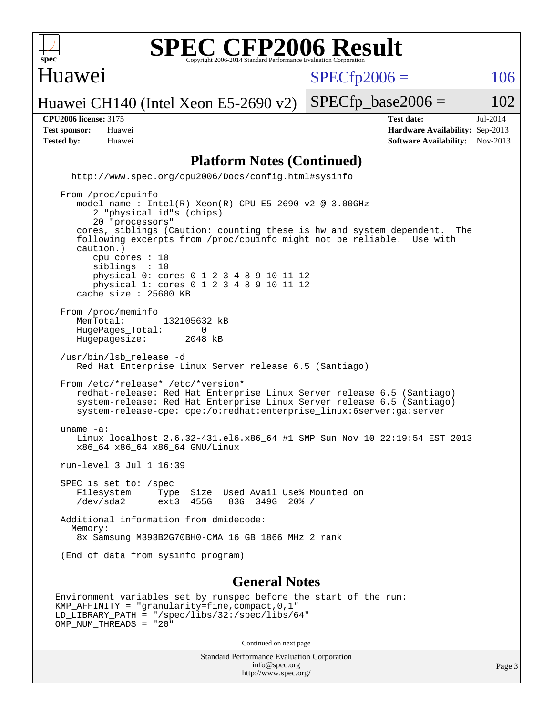

#### Huawei

 $SPECTp2006 = 106$ 

Huawei CH140 (Intel Xeon E5-2690 v2)

**[Tested by:](http://www.spec.org/auto/cpu2006/Docs/result-fields.html#Testedby)** Huawei **[Software Availability:](http://www.spec.org/auto/cpu2006/Docs/result-fields.html#SoftwareAvailability)** Nov-2013

**[CPU2006 license:](http://www.spec.org/auto/cpu2006/Docs/result-fields.html#CPU2006license)** 3175 **[Test date:](http://www.spec.org/auto/cpu2006/Docs/result-fields.html#Testdate)** Jul-2014 **[Test sponsor:](http://www.spec.org/auto/cpu2006/Docs/result-fields.html#Testsponsor)** Huawei **[Hardware Availability:](http://www.spec.org/auto/cpu2006/Docs/result-fields.html#HardwareAvailability)** Sep-2013

 $SPECTp\_base2006 = 102$ 

#### **[Platform Notes \(Continued\)](http://www.spec.org/auto/cpu2006/Docs/result-fields.html#PlatformNotes)**

 <http://www.spec.org/cpu2006/Docs/config.html#sysinfo> From /proc/cpuinfo model name : Intel(R) Xeon(R) CPU E5-2690 v2 @ 3.00GHz 2 "physical id"s (chips) 20 "processors" cores, siblings (Caution: counting these is hw and system dependent. The following excerpts from /proc/cpuinfo might not be reliable. Use with caution.) cpu cores : 10 siblings : 10 physical 0: cores 0 1 2 3 4 8 9 10 11 12 physical 1: cores 0 1 2 3 4 8 9 10 11 12 cache size : 25600 KB From /proc/meminfo<br>MemTotal: 132105632 kB HugePages\_Total: 0<br>Hugepagesize: 2048 kB Hugepagesize: /usr/bin/lsb\_release -d Red Hat Enterprise Linux Server release 6.5 (Santiago) From /etc/\*release\* /etc/\*version\* redhat-release: Red Hat Enterprise Linux Server release 6.5 (Santiago) system-release: Red Hat Enterprise Linux Server release 6.5 (Santiago) system-release-cpe: cpe:/o:redhat:enterprise\_linux:6server:ga:server uname -a: Linux localhost 2.6.32-431.el6.x86\_64 #1 SMP Sun Nov 10 22:19:54 EST 2013 x86\_64 x86\_64 x86\_64 GNU/Linux

run-level 3 Jul 1 16:39

 SPEC is set to: /spec Filesystem Type Size Used Avail Use% Mounted on /dev/sda2 ext3 455G 83G 349G 20% / Additional information from dmidecode: Memory: 8x Samsung M393B2G70BH0-CMA 16 GB 1866 MHz 2 rank

(End of data from sysinfo program)

#### **[General Notes](http://www.spec.org/auto/cpu2006/Docs/result-fields.html#GeneralNotes)**

```
Environment variables set by runspec before the start of the run:
KMP_AFFINITY = "granularity=fine,compact,0,1"
LD_LIBRARY_PATH = "/spec/libs/32:/spec/libs/64"
OMP NUM THREADS = "20"
```
Continued on next page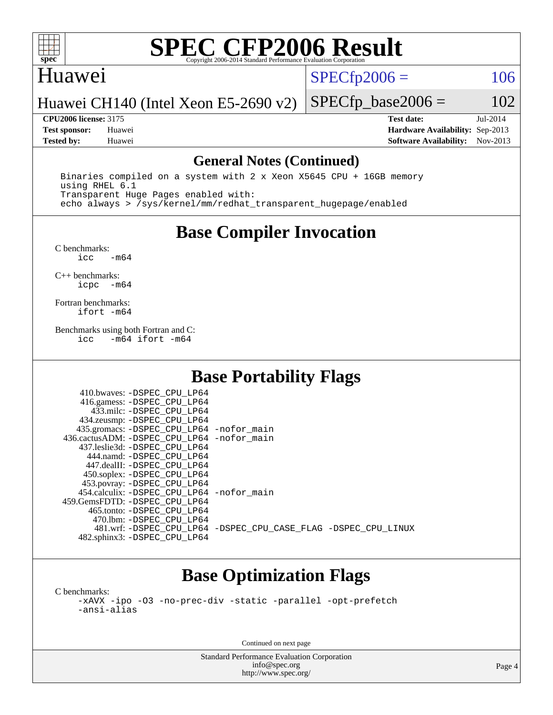

#### Huawei

 $SPECfp2006 = 106$  $SPECfp2006 = 106$ 

Huawei CH140 (Intel Xeon E5-2690 v2)

**[CPU2006 license:](http://www.spec.org/auto/cpu2006/Docs/result-fields.html#CPU2006license)** 3175 **[Test date:](http://www.spec.org/auto/cpu2006/Docs/result-fields.html#Testdate)** Jul-2014 **[Test sponsor:](http://www.spec.org/auto/cpu2006/Docs/result-fields.html#Testsponsor)** Huawei **[Hardware Availability:](http://www.spec.org/auto/cpu2006/Docs/result-fields.html#HardwareAvailability)** Sep-2013 **[Tested by:](http://www.spec.org/auto/cpu2006/Docs/result-fields.html#Testedby)** Huawei **[Software Availability:](http://www.spec.org/auto/cpu2006/Docs/result-fields.html#SoftwareAvailability)** Nov-2013

 $SPECTp\_base2006 = 102$ 

#### **[General Notes \(Continued\)](http://www.spec.org/auto/cpu2006/Docs/result-fields.html#GeneralNotes)**

 Binaries compiled on a system with 2 x Xeon X5645 CPU + 16GB memory using RHEL 6.1 Transparent Huge Pages enabled with: echo always > /sys/kernel/mm/redhat\_transparent\_hugepage/enabled

## **[Base Compiler Invocation](http://www.spec.org/auto/cpu2006/Docs/result-fields.html#BaseCompilerInvocation)**

 $C$  benchmarks:<br>icc  $-m64$ 

[C++ benchmarks:](http://www.spec.org/auto/cpu2006/Docs/result-fields.html#CXXbenchmarks) [icpc -m64](http://www.spec.org/cpu2006/results/res2014q3/cpu2006-20140818-30948.flags.html#user_CXXbase_intel_icpc_64bit_bedb90c1146cab66620883ef4f41a67e)

[Fortran benchmarks](http://www.spec.org/auto/cpu2006/Docs/result-fields.html#Fortranbenchmarks): [ifort -m64](http://www.spec.org/cpu2006/results/res2014q3/cpu2006-20140818-30948.flags.html#user_FCbase_intel_ifort_64bit_ee9d0fb25645d0210d97eb0527dcc06e)

[Benchmarks using both Fortran and C](http://www.spec.org/auto/cpu2006/Docs/result-fields.html#BenchmarksusingbothFortranandC): [icc -m64](http://www.spec.org/cpu2006/results/res2014q3/cpu2006-20140818-30948.flags.html#user_CC_FCbase_intel_icc_64bit_0b7121f5ab7cfabee23d88897260401c) [ifort -m64](http://www.spec.org/cpu2006/results/res2014q3/cpu2006-20140818-30948.flags.html#user_CC_FCbase_intel_ifort_64bit_ee9d0fb25645d0210d97eb0527dcc06e)

### **[Base Portability Flags](http://www.spec.org/auto/cpu2006/Docs/result-fields.html#BasePortabilityFlags)**

| 410.bwaves: -DSPEC CPU LP64                |                                                                |
|--------------------------------------------|----------------------------------------------------------------|
| 416.gamess: -DSPEC_CPU_LP64                |                                                                |
| 433.milc: -DSPEC CPU LP64                  |                                                                |
| 434.zeusmp: -DSPEC_CPU_LP64                |                                                                |
| 435.gromacs: -DSPEC_CPU_LP64 -nofor_main   |                                                                |
| 436.cactusADM: -DSPEC_CPU_LP64 -nofor main |                                                                |
| 437.leslie3d: -DSPEC CPU LP64              |                                                                |
| 444.namd: - DSPEC CPU LP64                 |                                                                |
| 447.dealII: -DSPEC CPU LP64                |                                                                |
| 450.soplex: -DSPEC_CPU_LP64                |                                                                |
| 453.povray: -DSPEC CPU LP64                |                                                                |
| 454.calculix: -DSPEC CPU LP64 -nofor main  |                                                                |
| 459.GemsFDTD: -DSPEC_CPU LP64              |                                                                |
| 465.tonto: -DSPEC CPU LP64                 |                                                                |
| 470.1bm: - DSPEC CPU LP64                  |                                                                |
|                                            | 481.wrf: -DSPEC CPU_LP64 -DSPEC_CPU_CASE_FLAG -DSPEC_CPU_LINUX |
| 482.sphinx3: -DSPEC CPU LP64               |                                                                |

### **[Base Optimization Flags](http://www.spec.org/auto/cpu2006/Docs/result-fields.html#BaseOptimizationFlags)**

[C benchmarks](http://www.spec.org/auto/cpu2006/Docs/result-fields.html#Cbenchmarks): [-xAVX](http://www.spec.org/cpu2006/results/res2014q3/cpu2006-20140818-30948.flags.html#user_CCbase_f-xAVX) [-ipo](http://www.spec.org/cpu2006/results/res2014q3/cpu2006-20140818-30948.flags.html#user_CCbase_f-ipo) [-O3](http://www.spec.org/cpu2006/results/res2014q3/cpu2006-20140818-30948.flags.html#user_CCbase_f-O3) [-no-prec-div](http://www.spec.org/cpu2006/results/res2014q3/cpu2006-20140818-30948.flags.html#user_CCbase_f-no-prec-div) [-static](http://www.spec.org/cpu2006/results/res2014q3/cpu2006-20140818-30948.flags.html#user_CCbase_f-static) [-parallel](http://www.spec.org/cpu2006/results/res2014q3/cpu2006-20140818-30948.flags.html#user_CCbase_f-parallel) [-opt-prefetch](http://www.spec.org/cpu2006/results/res2014q3/cpu2006-20140818-30948.flags.html#user_CCbase_f-opt-prefetch) [-ansi-alias](http://www.spec.org/cpu2006/results/res2014q3/cpu2006-20140818-30948.flags.html#user_CCbase_f-ansi-alias)

Continued on next page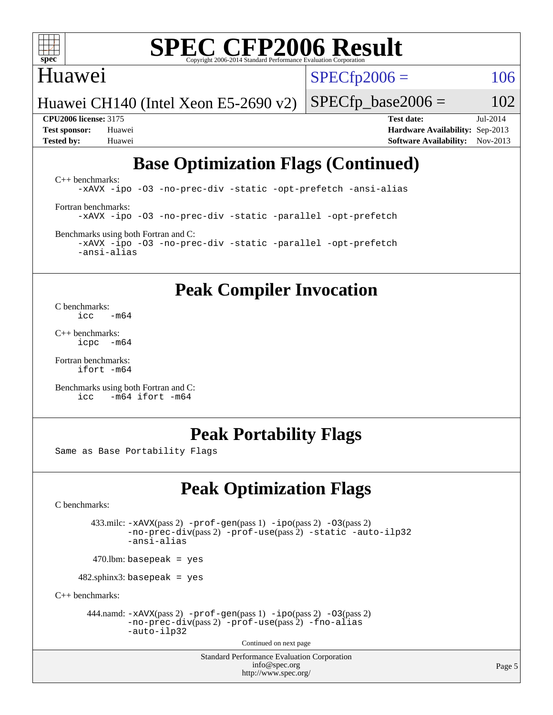

#### Huawei

 $SPECTp2006 = 106$ 

Huawei CH140 (Intel Xeon E5-2690 v2)

 $SPECTp\_base2006 = 102$ 

**[CPU2006 license:](http://www.spec.org/auto/cpu2006/Docs/result-fields.html#CPU2006license)** 3175 **[Test date:](http://www.spec.org/auto/cpu2006/Docs/result-fields.html#Testdate)** Jul-2014 **[Test sponsor:](http://www.spec.org/auto/cpu2006/Docs/result-fields.html#Testsponsor)** Huawei **[Hardware Availability:](http://www.spec.org/auto/cpu2006/Docs/result-fields.html#HardwareAvailability)** Sep-2013 **[Tested by:](http://www.spec.org/auto/cpu2006/Docs/result-fields.html#Testedby)** Huawei **[Software Availability:](http://www.spec.org/auto/cpu2006/Docs/result-fields.html#SoftwareAvailability)** Nov-2013

## **[Base Optimization Flags \(Continued\)](http://www.spec.org/auto/cpu2006/Docs/result-fields.html#BaseOptimizationFlags)**

[C++ benchmarks:](http://www.spec.org/auto/cpu2006/Docs/result-fields.html#CXXbenchmarks) [-xAVX](http://www.spec.org/cpu2006/results/res2014q3/cpu2006-20140818-30948.flags.html#user_CXXbase_f-xAVX) [-ipo](http://www.spec.org/cpu2006/results/res2014q3/cpu2006-20140818-30948.flags.html#user_CXXbase_f-ipo) [-O3](http://www.spec.org/cpu2006/results/res2014q3/cpu2006-20140818-30948.flags.html#user_CXXbase_f-O3) [-no-prec-div](http://www.spec.org/cpu2006/results/res2014q3/cpu2006-20140818-30948.flags.html#user_CXXbase_f-no-prec-div) [-static](http://www.spec.org/cpu2006/results/res2014q3/cpu2006-20140818-30948.flags.html#user_CXXbase_f-static) [-opt-prefetch](http://www.spec.org/cpu2006/results/res2014q3/cpu2006-20140818-30948.flags.html#user_CXXbase_f-opt-prefetch) [-ansi-alias](http://www.spec.org/cpu2006/results/res2014q3/cpu2006-20140818-30948.flags.html#user_CXXbase_f-ansi-alias) [Fortran benchmarks](http://www.spec.org/auto/cpu2006/Docs/result-fields.html#Fortranbenchmarks): [-xAVX](http://www.spec.org/cpu2006/results/res2014q3/cpu2006-20140818-30948.flags.html#user_FCbase_f-xAVX) [-ipo](http://www.spec.org/cpu2006/results/res2014q3/cpu2006-20140818-30948.flags.html#user_FCbase_f-ipo) [-O3](http://www.spec.org/cpu2006/results/res2014q3/cpu2006-20140818-30948.flags.html#user_FCbase_f-O3) [-no-prec-div](http://www.spec.org/cpu2006/results/res2014q3/cpu2006-20140818-30948.flags.html#user_FCbase_f-no-prec-div) [-static](http://www.spec.org/cpu2006/results/res2014q3/cpu2006-20140818-30948.flags.html#user_FCbase_f-static) [-parallel](http://www.spec.org/cpu2006/results/res2014q3/cpu2006-20140818-30948.flags.html#user_FCbase_f-parallel) [-opt-prefetch](http://www.spec.org/cpu2006/results/res2014q3/cpu2006-20140818-30948.flags.html#user_FCbase_f-opt-prefetch) [Benchmarks using both Fortran and C](http://www.spec.org/auto/cpu2006/Docs/result-fields.html#BenchmarksusingbothFortranandC):

[-xAVX](http://www.spec.org/cpu2006/results/res2014q3/cpu2006-20140818-30948.flags.html#user_CC_FCbase_f-xAVX) [-ipo](http://www.spec.org/cpu2006/results/res2014q3/cpu2006-20140818-30948.flags.html#user_CC_FCbase_f-ipo) [-O3](http://www.spec.org/cpu2006/results/res2014q3/cpu2006-20140818-30948.flags.html#user_CC_FCbase_f-O3) [-no-prec-div](http://www.spec.org/cpu2006/results/res2014q3/cpu2006-20140818-30948.flags.html#user_CC_FCbase_f-no-prec-div) [-static](http://www.spec.org/cpu2006/results/res2014q3/cpu2006-20140818-30948.flags.html#user_CC_FCbase_f-static) [-parallel](http://www.spec.org/cpu2006/results/res2014q3/cpu2006-20140818-30948.flags.html#user_CC_FCbase_f-parallel) [-opt-prefetch](http://www.spec.org/cpu2006/results/res2014q3/cpu2006-20140818-30948.flags.html#user_CC_FCbase_f-opt-prefetch) [-ansi-alias](http://www.spec.org/cpu2006/results/res2014q3/cpu2006-20140818-30948.flags.html#user_CC_FCbase_f-ansi-alias)

### **[Peak Compiler Invocation](http://www.spec.org/auto/cpu2006/Docs/result-fields.html#PeakCompilerInvocation)**

[C benchmarks](http://www.spec.org/auto/cpu2006/Docs/result-fields.html#Cbenchmarks):  $\frac{1}{2}$ cc  $-\text{m64}$ 

[C++ benchmarks:](http://www.spec.org/auto/cpu2006/Docs/result-fields.html#CXXbenchmarks) [icpc -m64](http://www.spec.org/cpu2006/results/res2014q3/cpu2006-20140818-30948.flags.html#user_CXXpeak_intel_icpc_64bit_bedb90c1146cab66620883ef4f41a67e)

[Fortran benchmarks](http://www.spec.org/auto/cpu2006/Docs/result-fields.html#Fortranbenchmarks): [ifort -m64](http://www.spec.org/cpu2006/results/res2014q3/cpu2006-20140818-30948.flags.html#user_FCpeak_intel_ifort_64bit_ee9d0fb25645d0210d97eb0527dcc06e)

[Benchmarks using both Fortran and C](http://www.spec.org/auto/cpu2006/Docs/result-fields.html#BenchmarksusingbothFortranandC): [icc -m64](http://www.spec.org/cpu2006/results/res2014q3/cpu2006-20140818-30948.flags.html#user_CC_FCpeak_intel_icc_64bit_0b7121f5ab7cfabee23d88897260401c) [ifort -m64](http://www.spec.org/cpu2006/results/res2014q3/cpu2006-20140818-30948.flags.html#user_CC_FCpeak_intel_ifort_64bit_ee9d0fb25645d0210d97eb0527dcc06e)

### **[Peak Portability Flags](http://www.spec.org/auto/cpu2006/Docs/result-fields.html#PeakPortabilityFlags)**

Same as Base Portability Flags

## **[Peak Optimization Flags](http://www.spec.org/auto/cpu2006/Docs/result-fields.html#PeakOptimizationFlags)**

[C benchmarks](http://www.spec.org/auto/cpu2006/Docs/result-fields.html#Cbenchmarks):

 433.milc: [-xAVX](http://www.spec.org/cpu2006/results/res2014q3/cpu2006-20140818-30948.flags.html#user_peakPASS2_CFLAGSPASS2_LDFLAGS433_milc_f-xAVX)(pass 2) [-prof-gen](http://www.spec.org/cpu2006/results/res2014q3/cpu2006-20140818-30948.flags.html#user_peakPASS1_CFLAGSPASS1_LDFLAGS433_milc_prof_gen_e43856698f6ca7b7e442dfd80e94a8fc)(pass 1) [-ipo](http://www.spec.org/cpu2006/results/res2014q3/cpu2006-20140818-30948.flags.html#user_peakPASS2_CFLAGSPASS2_LDFLAGS433_milc_f-ipo)(pass 2) [-O3](http://www.spec.org/cpu2006/results/res2014q3/cpu2006-20140818-30948.flags.html#user_peakPASS2_CFLAGSPASS2_LDFLAGS433_milc_f-O3)(pass 2) [-no-prec-div](http://www.spec.org/cpu2006/results/res2014q3/cpu2006-20140818-30948.flags.html#user_peakPASS2_CFLAGSPASS2_LDFLAGS433_milc_f-no-prec-div)(pass 2) [-prof-use](http://www.spec.org/cpu2006/results/res2014q3/cpu2006-20140818-30948.flags.html#user_peakPASS2_CFLAGSPASS2_LDFLAGS433_milc_prof_use_bccf7792157ff70d64e32fe3e1250b55)(pass 2) [-static](http://www.spec.org/cpu2006/results/res2014q3/cpu2006-20140818-30948.flags.html#user_peakOPTIMIZE433_milc_f-static) [-auto-ilp32](http://www.spec.org/cpu2006/results/res2014q3/cpu2006-20140818-30948.flags.html#user_peakCOPTIMIZE433_milc_f-auto-ilp32) [-ansi-alias](http://www.spec.org/cpu2006/results/res2014q3/cpu2006-20140818-30948.flags.html#user_peakCOPTIMIZE433_milc_f-ansi-alias)

 $470.$ lbm: basepeak = yes

482.sphinx3: basepeak = yes

[C++ benchmarks:](http://www.spec.org/auto/cpu2006/Docs/result-fields.html#CXXbenchmarks)

444.namd:  $-xAVX(pass 2)$  $-xAVX(pass 2)$  [-prof-gen](http://www.spec.org/cpu2006/results/res2014q3/cpu2006-20140818-30948.flags.html#user_peakPASS1_CXXFLAGSPASS1_LDFLAGS444_namd_prof_gen_e43856698f6ca7b7e442dfd80e94a8fc)(pass 1) [-ipo](http://www.spec.org/cpu2006/results/res2014q3/cpu2006-20140818-30948.flags.html#user_peakPASS2_CXXFLAGSPASS2_LDFLAGS444_namd_f-ipo)(pass 2) [-O3](http://www.spec.org/cpu2006/results/res2014q3/cpu2006-20140818-30948.flags.html#user_peakPASS2_CXXFLAGSPASS2_LDFLAGS444_namd_f-O3)(pass 2) [-no-prec-div](http://www.spec.org/cpu2006/results/res2014q3/cpu2006-20140818-30948.flags.html#user_peakPASS2_CXXFLAGSPASS2_LDFLAGS444_namd_f-no-prec-div)(pass 2) [-prof-use](http://www.spec.org/cpu2006/results/res2014q3/cpu2006-20140818-30948.flags.html#user_peakPASS2_CXXFLAGSPASS2_LDFLAGS444_namd_prof_use_bccf7792157ff70d64e32fe3e1250b55)(pass 2) [-fno-alias](http://www.spec.org/cpu2006/results/res2014q3/cpu2006-20140818-30948.flags.html#user_peakCXXOPTIMIZEOPTIMIZE444_namd_f-no-alias_694e77f6c5a51e658e82ccff53a9e63a) [-auto-ilp32](http://www.spec.org/cpu2006/results/res2014q3/cpu2006-20140818-30948.flags.html#user_peakCXXOPTIMIZE444_namd_f-auto-ilp32)

Continued on next page

Standard Performance Evaluation Corporation [info@spec.org](mailto:info@spec.org) <http://www.spec.org/>

Page 5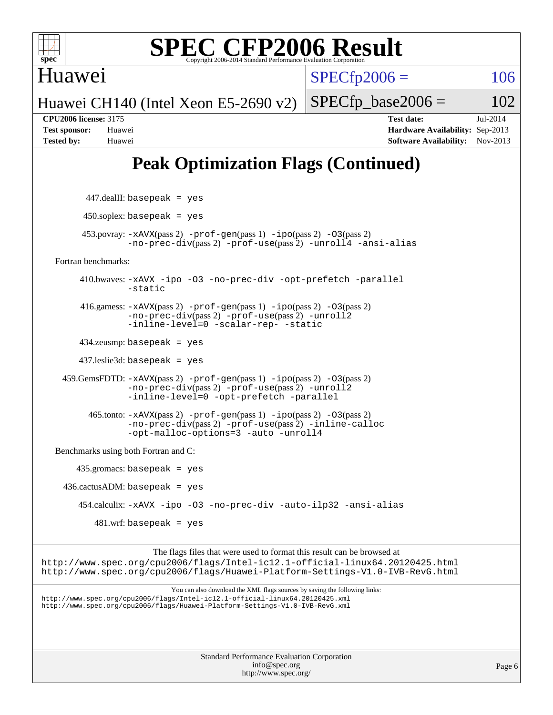

Huawei

 $SPECfp2006 = 106$  $SPECfp2006 = 106$ 

Huawei CH140 (Intel Xeon E5-2690 v2)

 $SPECTp\_base2006 = 102$ **[CPU2006 license:](http://www.spec.org/auto/cpu2006/Docs/result-fields.html#CPU2006license)** 3175 **[Test date:](http://www.spec.org/auto/cpu2006/Docs/result-fields.html#Testdate)** Jul-2014

## **[Peak Optimization Flags \(Continued\)](http://www.spec.org/auto/cpu2006/Docs/result-fields.html#PeakOptimizationFlags)**

**[Test sponsor:](http://www.spec.org/auto/cpu2006/Docs/result-fields.html#Testsponsor)** Huawei **[Hardware Availability:](http://www.spec.org/auto/cpu2006/Docs/result-fields.html#HardwareAvailability)** Sep-2013 **[Tested by:](http://www.spec.org/auto/cpu2006/Docs/result-fields.html#Testedby)** Huawei **[Software Availability:](http://www.spec.org/auto/cpu2006/Docs/result-fields.html#SoftwareAvailability)** Nov-2013

Standard Performance Evaluation Corporation 447.dealII: basepeak = yes  $450$ .soplex: basepeak = yes 453.povray: [-xAVX](http://www.spec.org/cpu2006/results/res2014q3/cpu2006-20140818-30948.flags.html#user_peakPASS2_CXXFLAGSPASS2_LDFLAGS453_povray_f-xAVX)(pass 2) [-prof-gen](http://www.spec.org/cpu2006/results/res2014q3/cpu2006-20140818-30948.flags.html#user_peakPASS1_CXXFLAGSPASS1_LDFLAGS453_povray_prof_gen_e43856698f6ca7b7e442dfd80e94a8fc)(pass 1) [-ipo](http://www.spec.org/cpu2006/results/res2014q3/cpu2006-20140818-30948.flags.html#user_peakPASS2_CXXFLAGSPASS2_LDFLAGS453_povray_f-ipo)(pass 2) [-O3](http://www.spec.org/cpu2006/results/res2014q3/cpu2006-20140818-30948.flags.html#user_peakPASS2_CXXFLAGSPASS2_LDFLAGS453_povray_f-O3)(pass 2) [-no-prec-div](http://www.spec.org/cpu2006/results/res2014q3/cpu2006-20140818-30948.flags.html#user_peakPASS2_CXXFLAGSPASS2_LDFLAGS453_povray_f-no-prec-div)(pass 2) [-prof-use](http://www.spec.org/cpu2006/results/res2014q3/cpu2006-20140818-30948.flags.html#user_peakPASS2_CXXFLAGSPASS2_LDFLAGS453_povray_prof_use_bccf7792157ff70d64e32fe3e1250b55)(pass 2) [-unroll4](http://www.spec.org/cpu2006/results/res2014q3/cpu2006-20140818-30948.flags.html#user_peakCXXOPTIMIZE453_povray_f-unroll_4e5e4ed65b7fd20bdcd365bec371b81f) [-ansi-alias](http://www.spec.org/cpu2006/results/res2014q3/cpu2006-20140818-30948.flags.html#user_peakCXXOPTIMIZE453_povray_f-ansi-alias) [Fortran benchmarks](http://www.spec.org/auto/cpu2006/Docs/result-fields.html#Fortranbenchmarks): 410.bwaves: [-xAVX](http://www.spec.org/cpu2006/results/res2014q3/cpu2006-20140818-30948.flags.html#user_peakOPTIMIZE410_bwaves_f-xAVX) [-ipo](http://www.spec.org/cpu2006/results/res2014q3/cpu2006-20140818-30948.flags.html#user_peakOPTIMIZE410_bwaves_f-ipo) [-O3](http://www.spec.org/cpu2006/results/res2014q3/cpu2006-20140818-30948.flags.html#user_peakOPTIMIZE410_bwaves_f-O3) [-no-prec-div](http://www.spec.org/cpu2006/results/res2014q3/cpu2006-20140818-30948.flags.html#user_peakOPTIMIZE410_bwaves_f-no-prec-div) [-opt-prefetch](http://www.spec.org/cpu2006/results/res2014q3/cpu2006-20140818-30948.flags.html#user_peakOPTIMIZE410_bwaves_f-opt-prefetch) [-parallel](http://www.spec.org/cpu2006/results/res2014q3/cpu2006-20140818-30948.flags.html#user_peakOPTIMIZE410_bwaves_f-parallel) [-static](http://www.spec.org/cpu2006/results/res2014q3/cpu2006-20140818-30948.flags.html#user_peakOPTIMIZE410_bwaves_f-static) 416.gamess: [-xAVX](http://www.spec.org/cpu2006/results/res2014q3/cpu2006-20140818-30948.flags.html#user_peakPASS2_FFLAGSPASS2_LDFLAGS416_gamess_f-xAVX)(pass 2) [-prof-gen](http://www.spec.org/cpu2006/results/res2014q3/cpu2006-20140818-30948.flags.html#user_peakPASS1_FFLAGSPASS1_LDFLAGS416_gamess_prof_gen_e43856698f6ca7b7e442dfd80e94a8fc)(pass 1) [-ipo](http://www.spec.org/cpu2006/results/res2014q3/cpu2006-20140818-30948.flags.html#user_peakPASS2_FFLAGSPASS2_LDFLAGS416_gamess_f-ipo)(pass 2) [-O3](http://www.spec.org/cpu2006/results/res2014q3/cpu2006-20140818-30948.flags.html#user_peakPASS2_FFLAGSPASS2_LDFLAGS416_gamess_f-O3)(pass 2) [-no-prec-div](http://www.spec.org/cpu2006/results/res2014q3/cpu2006-20140818-30948.flags.html#user_peakPASS2_FFLAGSPASS2_LDFLAGS416_gamess_f-no-prec-div)(pass 2) [-prof-use](http://www.spec.org/cpu2006/results/res2014q3/cpu2006-20140818-30948.flags.html#user_peakPASS2_FFLAGSPASS2_LDFLAGS416_gamess_prof_use_bccf7792157ff70d64e32fe3e1250b55)(pass 2) [-unroll2](http://www.spec.org/cpu2006/results/res2014q3/cpu2006-20140818-30948.flags.html#user_peakOPTIMIZE416_gamess_f-unroll_784dae83bebfb236979b41d2422d7ec2) [-inline-level=0](http://www.spec.org/cpu2006/results/res2014q3/cpu2006-20140818-30948.flags.html#user_peakOPTIMIZE416_gamess_f-inline-level_318d07a09274ad25e8d15dbfaa68ba50) [-scalar-rep-](http://www.spec.org/cpu2006/results/res2014q3/cpu2006-20140818-30948.flags.html#user_peakOPTIMIZE416_gamess_f-disablescalarrep_abbcad04450fb118e4809c81d83c8a1d) [-static](http://www.spec.org/cpu2006/results/res2014q3/cpu2006-20140818-30948.flags.html#user_peakOPTIMIZE416_gamess_f-static) 434.zeusmp: basepeak = yes 437.leslie3d: basepeak = yes 459.GemsFDTD: [-xAVX](http://www.spec.org/cpu2006/results/res2014q3/cpu2006-20140818-30948.flags.html#user_peakPASS2_FFLAGSPASS2_LDFLAGS459_GemsFDTD_f-xAVX)(pass 2) [-prof-gen](http://www.spec.org/cpu2006/results/res2014q3/cpu2006-20140818-30948.flags.html#user_peakPASS1_FFLAGSPASS1_LDFLAGS459_GemsFDTD_prof_gen_e43856698f6ca7b7e442dfd80e94a8fc)(pass 1) [-ipo](http://www.spec.org/cpu2006/results/res2014q3/cpu2006-20140818-30948.flags.html#user_peakPASS2_FFLAGSPASS2_LDFLAGS459_GemsFDTD_f-ipo)(pass 2) [-O3](http://www.spec.org/cpu2006/results/res2014q3/cpu2006-20140818-30948.flags.html#user_peakPASS2_FFLAGSPASS2_LDFLAGS459_GemsFDTD_f-O3)(pass 2) [-no-prec-div](http://www.spec.org/cpu2006/results/res2014q3/cpu2006-20140818-30948.flags.html#user_peakPASS2_FFLAGSPASS2_LDFLAGS459_GemsFDTD_f-no-prec-div)(pass 2) [-prof-use](http://www.spec.org/cpu2006/results/res2014q3/cpu2006-20140818-30948.flags.html#user_peakPASS2_FFLAGSPASS2_LDFLAGS459_GemsFDTD_prof_use_bccf7792157ff70d64e32fe3e1250b55)(pass 2) [-unroll2](http://www.spec.org/cpu2006/results/res2014q3/cpu2006-20140818-30948.flags.html#user_peakOPTIMIZE459_GemsFDTD_f-unroll_784dae83bebfb236979b41d2422d7ec2) [-inline-level=0](http://www.spec.org/cpu2006/results/res2014q3/cpu2006-20140818-30948.flags.html#user_peakOPTIMIZE459_GemsFDTD_f-inline-level_318d07a09274ad25e8d15dbfaa68ba50) [-opt-prefetch](http://www.spec.org/cpu2006/results/res2014q3/cpu2006-20140818-30948.flags.html#user_peakOPTIMIZE459_GemsFDTD_f-opt-prefetch) [-parallel](http://www.spec.org/cpu2006/results/res2014q3/cpu2006-20140818-30948.flags.html#user_peakOPTIMIZE459_GemsFDTD_f-parallel) 465.tonto: [-xAVX](http://www.spec.org/cpu2006/results/res2014q3/cpu2006-20140818-30948.flags.html#user_peakPASS2_FFLAGSPASS2_LDFLAGS465_tonto_f-xAVX)(pass 2) [-prof-gen](http://www.spec.org/cpu2006/results/res2014q3/cpu2006-20140818-30948.flags.html#user_peakPASS1_FFLAGSPASS1_LDFLAGS465_tonto_prof_gen_e43856698f6ca7b7e442dfd80e94a8fc)(pass 1) [-ipo](http://www.spec.org/cpu2006/results/res2014q3/cpu2006-20140818-30948.flags.html#user_peakPASS2_FFLAGSPASS2_LDFLAGS465_tonto_f-ipo)(pass 2) [-O3](http://www.spec.org/cpu2006/results/res2014q3/cpu2006-20140818-30948.flags.html#user_peakPASS2_FFLAGSPASS2_LDFLAGS465_tonto_f-O3)(pass 2) [-no-prec-div](http://www.spec.org/cpu2006/results/res2014q3/cpu2006-20140818-30948.flags.html#user_peakPASS2_FFLAGSPASS2_LDFLAGS465_tonto_f-no-prec-div)(pass 2) [-prof-use](http://www.spec.org/cpu2006/results/res2014q3/cpu2006-20140818-30948.flags.html#user_peakPASS2_FFLAGSPASS2_LDFLAGS465_tonto_prof_use_bccf7792157ff70d64e32fe3e1250b55)(pass 2) [-inline-calloc](http://www.spec.org/cpu2006/results/res2014q3/cpu2006-20140818-30948.flags.html#user_peakOPTIMIZE465_tonto_f-inline-calloc) [-opt-malloc-options=3](http://www.spec.org/cpu2006/results/res2014q3/cpu2006-20140818-30948.flags.html#user_peakOPTIMIZE465_tonto_f-opt-malloc-options_13ab9b803cf986b4ee62f0a5998c2238) [-auto](http://www.spec.org/cpu2006/results/res2014q3/cpu2006-20140818-30948.flags.html#user_peakOPTIMIZE465_tonto_f-auto) [-unroll4](http://www.spec.org/cpu2006/results/res2014q3/cpu2006-20140818-30948.flags.html#user_peakOPTIMIZE465_tonto_f-unroll_4e5e4ed65b7fd20bdcd365bec371b81f) [Benchmarks using both Fortran and C](http://www.spec.org/auto/cpu2006/Docs/result-fields.html#BenchmarksusingbothFortranandC): 435.gromacs: basepeak = yes  $436.cactusADM: basepeak = yes$  454.calculix: [-xAVX](http://www.spec.org/cpu2006/results/res2014q3/cpu2006-20140818-30948.flags.html#user_peakOPTIMIZE454_calculix_f-xAVX) [-ipo](http://www.spec.org/cpu2006/results/res2014q3/cpu2006-20140818-30948.flags.html#user_peakOPTIMIZE454_calculix_f-ipo) [-O3](http://www.spec.org/cpu2006/results/res2014q3/cpu2006-20140818-30948.flags.html#user_peakOPTIMIZE454_calculix_f-O3) [-no-prec-div](http://www.spec.org/cpu2006/results/res2014q3/cpu2006-20140818-30948.flags.html#user_peakOPTIMIZE454_calculix_f-no-prec-div) [-auto-ilp32](http://www.spec.org/cpu2006/results/res2014q3/cpu2006-20140818-30948.flags.html#user_peakCOPTIMIZE454_calculix_f-auto-ilp32) [-ansi-alias](http://www.spec.org/cpu2006/results/res2014q3/cpu2006-20140818-30948.flags.html#user_peakCOPTIMIZE454_calculix_f-ansi-alias)  $481$ .wrf: basepeak = yes The flags files that were used to format this result can be browsed at <http://www.spec.org/cpu2006/flags/Intel-ic12.1-official-linux64.20120425.html> <http://www.spec.org/cpu2006/flags/Huawei-Platform-Settings-V1.0-IVB-RevG.html> You can also download the XML flags sources by saving the following links: <http://www.spec.org/cpu2006/flags/Intel-ic12.1-official-linux64.20120425.xml> <http://www.spec.org/cpu2006/flags/Huawei-Platform-Settings-V1.0-IVB-RevG.xml>